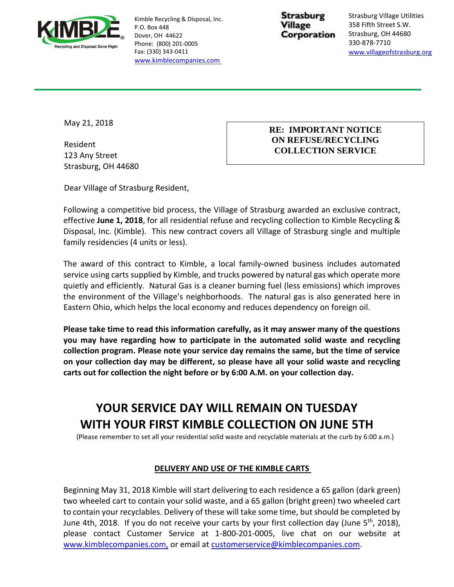

Kimble Recycling & Disposal, Inc. P.O. Box 448 Dover, OH 44622 Phone: (800) 201-0005 Fax: (330) 343-0411 [www.kimblecompanies.com](http://www.kimblecompanies.com/)

**Strasburg** Village Corporation

Strasburg Village Utilities 358 Fifth Street S.W. Strasburg, OH 44680 330-878-7710 [www.villageofstrasburg.org](http://www.villageofstrasburg.org/)

May 21, 2018

Resident 123 Any Street Strasburg, OH 44680

#### **RE: IMPORTANT NOTICE ON REFUSE/RECYCLING COLLECTION SERVICE**

Dear Village of Strasburg Resident,

Following a competitive bid process, the Village of Strasburg awarded an exclusive contract, effective **June 1, 2018**, for all residential refuse and recycling collection to Kimble Recycling & Disposal, Inc. (Kimble). This new contract covers all Village of Strasburg single and multiple family residencies (4 units or less).

The award of this contract to Kimble, a local family-owned business includes automated service using carts supplied by Kimble, and trucks powered by natural gas which operate more quietly and efficiently. Natural Gas is a cleaner burning fuel (less emissions) which improves the environment of the Village's neighborhoods. The natural gas is also generated here in Eastern Ohio, which helps the local economy and reduces dependency on foreign oil.

**Please take time to read this information carefully, as it may answer many of the questions you may have regarding how to participate in the automated solid waste and recycling collection program. Please note your service day remains the same, but the time of service on your collection day may be different, so please have all your solid waste and recycling carts out for collection the night before or by 6:00 A.M. on your collection day.** 

# **YOUR SERVICE DAY WILL REMAIN ON TUESDAY WITH YOUR FIRST KIMBLE COLLECTION ON JUNE 5TH**

(Please remember to set all your residential solid waste and recyclable materials at the curb by 6:00 a.m.)

### **DELIVERY AND USE OF THE KIMBLE CARTS**

Beginning May 31, 2018 Kimble will start delivering to each residence a 65 gallon (dark green) two wheeled cart to contain your solid waste, and a 65 gallon (bright green) two wheeled cart to contain your recyclables. Delivery of these will take some time, but should be completed by June 4th, 2018. If you do not receive your carts by your first collection day (June 5<sup>th</sup>, 2018), please contact Customer Service at 1-800-201-0005, live chat on our website at [www.kimblecompanies.com,](http://www.kimblecompanies.com/) or email at [customerservice@kimblecompanies.com.](mailto:customerservice@kimblecompanies.com)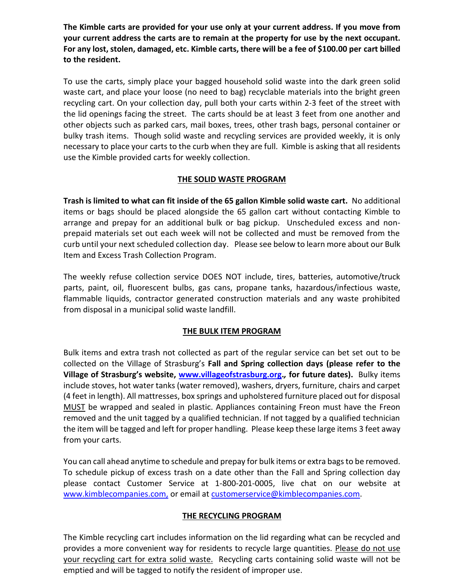**The Kimble carts are provided for your use only at your current address. If you move from your current address the carts are to remain at the property for use by the next occupant. For any lost, stolen, damaged, etc. Kimble carts, there will be a fee of \$100.00 per cart billed to the resident.** 

To use the carts, simply place your bagged household solid waste into the dark green solid waste cart, and place your loose (no need to bag) recyclable materials into the bright green recycling cart. On your collection day, pull both your carts within 2-3 feet of the street with the lid openings facing the street. The carts should be at least 3 feet from one another and other objects such as parked cars, mail boxes, trees, other trash bags, personal container or bulky trash items. Though solid waste and recycling services are provided weekly, it is only necessary to place your carts to the curb when they are full. Kimble is asking that all residents use the Kimble provided carts for weekly collection.

### **THE SOLID WASTE PROGRAM**

**Trash is limited to what can fit inside of the 65 gallon Kimble solid waste cart.** No additional items or bags should be placed alongside the 65 gallon cart without contacting Kimble to arrange and prepay for an additional bulk or bag pickup. Unscheduled excess and nonprepaid materials set out each week will not be collected and must be removed from the curb until your next scheduled collection day. Please see below to learn more about our Bulk Item and Excess Trash Collection Program.

The weekly refuse collection service DOES NOT include, tires, batteries, automotive/truck parts, paint, oil, fluorescent bulbs, gas cans, propane tanks, hazardous/infectious waste, flammable liquids, contractor generated construction materials and any waste prohibited from disposal in a municipal solid waste landfill.

### **THE BULK ITEM PROGRAM**

Bulk items and extra trash not collected as part of the regular service can bet set out to be collected on the Village of Strasburg's **Fall and Spring collection days (please refer to the Village of Strasburg's website, [www.villageofstrasburg.org.](http://www.villageofstrasburg.org/)***,* **for future dates).** Bulky items include stoves, hot water tanks (water removed), washers, dryers, furniture, chairs and carpet (4 feet in length). All mattresses, box springs and upholstered furniture placed out for disposal MUST be wrapped and sealed in plastic. Appliances containing Freon must have the Freon removed and the unit tagged by a qualified technician. If not tagged by a qualified technician the item will be tagged and left for proper handling. Please keep these large items 3 feet away from your carts.

You can call ahead anytime to schedule and prepay for bulk items or extra bags to be removed. To schedule pickup of excess trash on a date other than the Fall and Spring collection day please contact Customer Service at 1-800-201-0005, live chat on our website at [www.kimblecompanies.com,](http://www.kimblecompanies.com/) or email at [customerservice@kimblecompanies.com.](mailto:customerservice@kimblecompanies.com)

### **THE RECYCLING PROGRAM**

The Kimble recycling cart includes information on the lid regarding what can be recycled and provides a more convenient way for residents to recycle large quantities. Please do not use your recycling cart for extra solid waste. Recycling carts containing solid waste will not be emptied and will be tagged to notify the resident of improper use.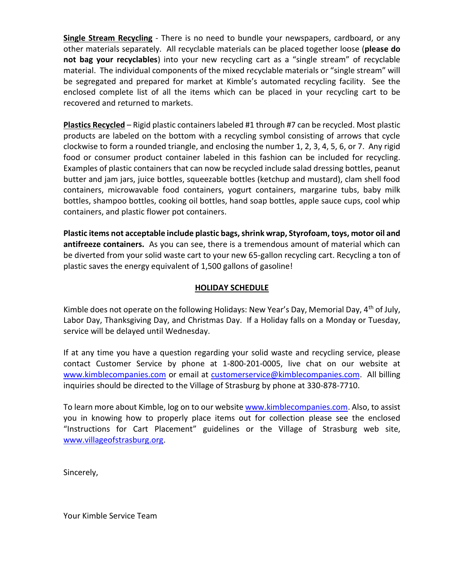**Single Stream Recycling** - There is no need to bundle your newspapers, cardboard, or any other materials separately. All recyclable materials can be placed together loose (**please do not bag your recyclables**) into your new recycling cart as a "single stream" of recyclable material. The individual components of the mixed recyclable materials or "single stream" will be segregated and prepared for market at Kimble's automated recycling facility. See the enclosed complete list of all the items which can be placed in your recycling cart to be recovered and returned to markets.

**Plastics Recycled** – Rigid plastic containers labeled #1 through #7 can be recycled. Most plastic products are labeled on the bottom with a recycling symbol consisting of arrows that cycle clockwise to form a rounded triangle, and enclosing the number 1, 2, 3, 4, 5, 6, or 7. Any rigid food or consumer product container labeled in this fashion can be included for recycling. Examples of plastic containers that can now be recycled include salad dressing bottles, peanut butter and jam jars, juice bottles, squeezable bottles (ketchup and mustard), clam shell food containers, microwavable food containers, yogurt containers, margarine tubs, baby milk bottles, shampoo bottles, cooking oil bottles, hand soap bottles, apple sauce cups, cool whip containers, and plastic flower pot containers.

**Plastic items not acceptable include plastic bags, shrink wrap, Styrofoam, toys, motor oil and antifreeze containers.** As you can see, there is a tremendous amount of material which can be diverted from your solid waste cart to your new 65-gallon recycling cart. Recycling a ton of plastic saves the energy equivalent of 1,500 gallons of gasoline!

#### **HOLIDAY SCHEDULE**

Kimble does not operate on the following Holidays: New Year's Day, Memorial Day,  $4<sup>th</sup>$  of July, Labor Day, Thanksgiving Day, and Christmas Day. If a Holiday falls on a Monday or Tuesday, service will be delayed until Wednesday.

If at any time you have a question regarding your solid waste and recycling service, please contact Customer Service by phone at 1-800-201-0005, live chat on our website at [www.kimblecompanies.com](http://www.kimblecompanies.com/) or email at [customerservice@kimblecompanies.com.](mailto:customerservice@kimblecompanies.com) All billing inquiries should be directed to the Village of Strasburg by phone at 330-878-7710.

To learn more about Kimble, log on to our website [www.kimblecompanies.com.](http://www.kimblecompanies.com/) Also, to assist you in knowing how to properly place items out for collection please see the enclosed "Instructions for Cart Placement" guidelines or the Village of Strasburg web site, [www.villageofstrasburg.org.](http://www.villageofstrasburg.org/)

Sincerely,

Your Kimble Service Team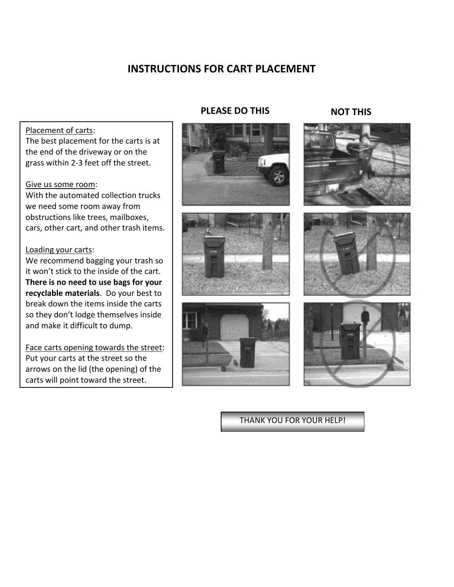## **INSTRUCTIONS FOR CART PLACEMENT**

#### Placement of carts:

The best placement for the carts is at the end of the driveway or on the grass within 2-3 feet off the street.

#### Give us some room:

With the automated collection trucks we need some room away from obstructions like trees, mailboxes, cars, other cart, and other trash items.

#### Loading your carts:

We recommend bagging your trash so it won't stick to the inside of the cart. **There is no need to use bags for your recyclable materials**. Do your best to break down the items inside the carts so they don't lodge themselves inside and make it difficult to dump.

Face carts opening towards the street: Put your carts at the street so the arrows on the lid (the opening) of the carts will point toward the street.

#### **PLEASE DO THIS NOT THIS**







## THANK YOU FOR YOUR HELP!